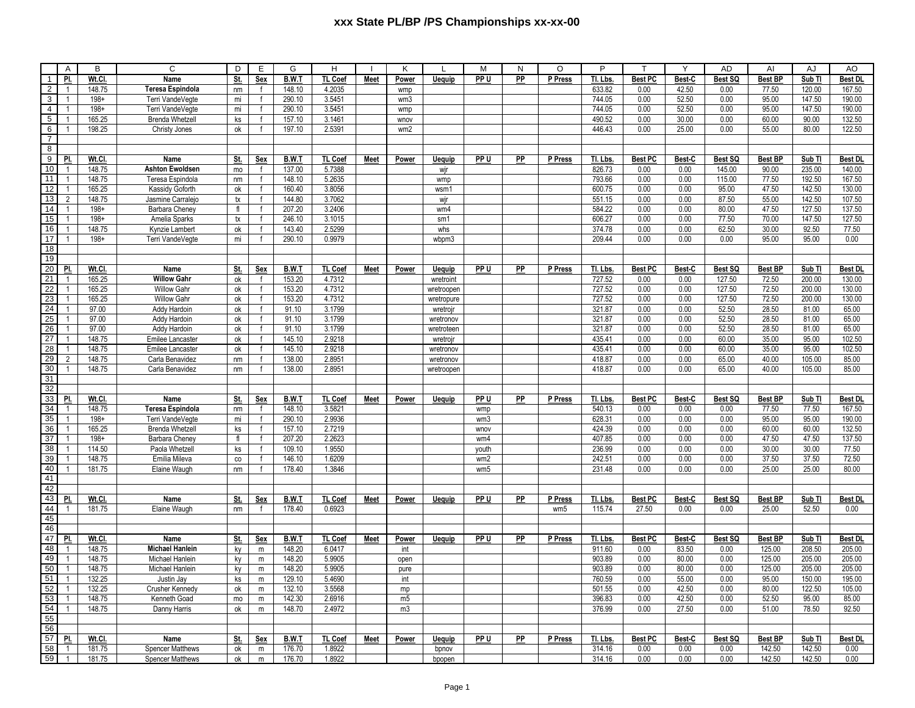|                 | $\mathsf{A}$   | B       | C                       | D              | Е            | G      | H              |             | Κ              | $\mathbf{I}$  | M               | N         | $\circ$         | P        | т              | Y      | <b>AD</b> | Al                       | AJ     | AO             |
|-----------------|----------------|---------|-------------------------|----------------|--------------|--------|----------------|-------------|----------------|---------------|-----------------|-----------|-----------------|----------|----------------|--------|-----------|--------------------------|--------|----------------|
| $\mathbf{1}$    | PI.            | Wt.Cl.  | Name                    | St.            | Sex          | B.W.T  | TL Coef        | Meet        | Power          | Uequip        | PP U            | PP        | P Press         | Tl. Lbs. | Best PC        | Best-C | Best SQ   | <b>Best BP</b>           | Sub TI | <b>Best DL</b> |
| $\overline{2}$  | $\overline{1}$ | 148.75  | Teresa Espindola        | nm             | $\mathbf{f}$ | 148.10 | 4.2035         |             | wmp            |               |                 |           |                 | 633.82   | 0.00           | 42.50  | 0.00      | 77.50                    | 120.00 | 167.50         |
| $\overline{3}$  | $\overline{1}$ | $198 +$ | Terri VandeVegte        | mi             |              | 290.10 | 3.5451         |             | wm3            |               |                 |           |                 | 744.05   | 0.00           | 52.50  | 0.00      | 95.00                    | 147.50 | 190.00         |
| $\overline{4}$  | $\overline{1}$ | $198 +$ | Terri VandeVegte        | mi             |              | 290.10 | 3.5451         |             | wmp            |               |                 |           |                 | 744.05   | 0.00           | 52.50  | 0.00      | 95.00                    | 147.50 | 190.00         |
| $5^{\circ}$     | $\mathbf{1}$   | 165.25  | <b>Brenda Whetzell</b>  | ks             |              | 157.10 | 3.1461         |             | wnov           |               |                 |           |                 | 490.52   | 0.00           | 30.00  | 0.00      | 60.00                    | 90.00  | 132.50         |
| 6               | $\overline{1}$ | 198.25  | Christy Jones           | ok             |              | 197.10 | 2.5391         |             | wm2            |               |                 |           |                 | 446.43   | 0.00           | 25.00  | 0.00      | 55.00                    | 80.00  | 122.50         |
| $\overline{7}$  |                |         |                         |                |              |        |                |             |                |               |                 |           |                 |          |                |        |           |                          |        |                |
| 8               |                |         |                         |                |              |        |                |             |                |               |                 |           |                 |          |                |        |           |                          |        |                |
| $\overline{9}$  | PI.            | Wt.Cl.  | Name                    | St.            | <b>Sex</b>   | B.W.T  | TL Coef        | <b>Meet</b> | Power          | <b>Uequip</b> | PP U            | PP        | P Press         | Tl. Lbs. | <b>Best PC</b> | Best-C | Best SQ   | <b>Best BP</b>           | Sub TI | <b>Best DL</b> |
| 10              | $\overline{1}$ | 148.75  | <b>Ashton Ewoldsen</b>  | mo             | $\mathsf{f}$ | 137.00 | 5.7388         |             |                | wjr           |                 |           |                 | 826.73   | 0.00           | 0.00   | 145.00    | 90.00                    | 235.00 | 140.00         |
| 11              | $\overline{1}$ | 148.75  | Teresa Espindola        | nm             |              | 148.10 | 5.2635         |             |                | wmp           |                 |           |                 | 793.66   | 0.00           | 0.00   | 115.00    | 77.50                    | 192.50 | 167.50         |
| $\overline{12}$ | $\overline{1}$ | 165.25  | Kassidy Goforth         | ok             |              | 160.40 | 3.8056         |             |                | wsm1          |                 |           |                 | 600.75   | 0.00           | 0.00   | 95.00     | 47.50                    | 142.50 | 130.00         |
| $\overline{13}$ | $\overline{2}$ | 148.75  | Jasmine Carralejo       | tx             |              | 144.80 | 3.7062         |             |                | wjr           |                 |           |                 | 551.15   | 0.00           | 0.00   | 87.50     | 55.00                    | 142.50 | 107.50         |
| 14              | $\overline{1}$ | $198+$  | Barbara Cheney          | f <sub>l</sub> |              | 207.20 | 3.2406         |             |                | wm4           |                 |           |                 | 584.22   | 0.00           | 0.00   | 80.00     | 47.50                    | 127.50 | 137.50         |
| 15              | $\overline{1}$ | $198 +$ | Amelia Sparks           | tx             |              | 246.10 | 3.1015         |             |                | sm1           |                 |           |                 | 606.27   | 0.00           | 0.00   | 77.50     | 70.00                    | 147.50 | 127.50         |
| 16              | $\mathbf{1}$   | 148.75  | Kynzie Lambert          | ok             |              | 143.40 | 2.5299         |             |                | whs           |                 |           |                 | 374.78   | 0.00           | 0.00   | 62.50     | 30.00                    | 92.50  | 77.50          |
| 17              | 1              | $198 +$ | Terri VandeVegte        | mi             |              | 290.10 | 0.9979         |             |                | wbpm3         |                 |           |                 | 209.44   | 0.00           | 0.00   | 0.00      | 95.00                    | 95.00  | 0.00           |
| 18              |                |         |                         |                |              |        |                |             |                |               |                 |           |                 |          |                |        |           |                          |        |                |
| 19              |                |         |                         |                |              |        |                |             |                |               |                 |           |                 |          |                |        |           |                          |        |                |
| 20              | PI.            | Wt.Cl.  | Name                    | St.            | Sex          | B.W.T  | <b>TL Coef</b> | Meet        | Power          | Uequip        | PP U            | <b>PP</b> | P Press         | Tl. Lbs. | <b>Best PC</b> | Best-C | Best SQ   | <b>Best BP</b>           | Sub TI | <b>Best DL</b> |
| 21              | $\overline{1}$ | 165.25  | <b>Willow Gahr</b>      | ok             | $\mathsf{f}$ | 153.20 | 4.7312         |             |                | wretroint     |                 |           |                 | 727.52   | 0.00           | 0.00   | 127.50    | 72.50                    | 200.00 | 130.00         |
| 22              | $\overline{1}$ | 165.25  | <b>Willow Gahr</b>      | ok             |              | 153.20 | 4.7312         |             |                | wretroopen    |                 |           |                 | 727.52   | 0.00           | 0.00   | 127.50    | 72.50                    | 200.00 | 130.00         |
| 23              | $\overline{1}$ | 165.25  | Willow Gahr             | ok             |              | 153.20 | 4.7312         |             |                | wretropure    |                 |           |                 | 727.52   | 0.00           | 0.00   | 127.50    | 72.50                    | 200.00 | 130.00         |
| $\overline{24}$ | $\mathbf{1}$   | 97.00   | Addy Hardoin            | ok             |              | 91.10  | 3.1799         |             |                | wretrojn      |                 |           |                 | 321.87   | 0.00           | 0.00   | 52.50     | 28.50                    | 81.00  | 65.00          |
| 25              | $\overline{1}$ | 97.00   | Addy Hardoin            | ok             |              | 91.10  | 3.1799         |             |                | wretronov     |                 |           |                 | 321.87   | 0.00           | 0.00   | 52.50     | 28.50                    | 81.00  | 65.00          |
| $\overline{26}$ | $\overline{1}$ | 97.00   | Addy Hardoin            | ok             |              | 91.10  | 3.1799         |             |                | wretroteen    |                 |           |                 | 321.87   | 0.00           | 0.00   | 52.50     | 28.50                    | 81.00  | 65.00          |
| $\overline{27}$ | $\overline{1}$ | 148.75  | Emilee Lancaster        | ok             |              | 145.10 | 2.9218         |             |                | wretrojn      |                 |           |                 | 435.41   | 0.00           | 0.00   | 60.00     | 35.00                    | 95.00  | 102.50         |
| 28              | $\overline{1}$ | 148.75  | <b>Emilee Lancaster</b> | ok             |              | 145.10 | 2.9218         |             |                | wretronov     |                 |           |                 | 435.41   | 0.00           | 0.00   | 60.00     | 35.00                    | 95.00  | 102.50         |
| 29              | 2              | 148.75  | Carla Benavidez         | nm             |              | 138.00 | 2.8951         |             |                | wretronov     |                 |           |                 | 418.87   | 0.00           | 0.00   | 65.00     | 40.00                    | 105.00 | 85.00          |
| 30              | 1              | 148.75  | Carla Benavidez         | nm             |              | 138.00 | 2.8951         |             |                | wretroopen    |                 |           |                 | 418.87   | 0.00           | 0.00   | 65.00     | 40.00                    | 105.00 | 85.00          |
| 31              |                |         |                         |                |              |        |                |             |                |               |                 |           |                 |          |                |        |           |                          |        |                |
| 32              |                |         |                         |                |              |        |                |             |                |               |                 |           |                 |          |                |        |           |                          |        |                |
| 33              | PI.            | Wt.Cl.  | Name                    | St.            | Sex          | B.W.T  | <b>TL Coef</b> | <b>Meet</b> | Power          | <b>Uequip</b> | PP U            | <b>PP</b> | P Press         | Tl. Lbs. | <b>Best PC</b> | Best-C | Best SQ   | <b>Best BP</b>           | Sub TI | <b>Best DI</b> |
| 34              | $\overline{1}$ | 148.75  | Teresa Espindola        | nm             |              | 148.10 | 3.5821         |             |                |               | wmp             |           |                 | 540.13   | 0.00           | 0.00   | 0.00      | 77.50                    | 77.50  | 167.50         |
| 35              | $\overline{1}$ | $198 +$ | Terri VandeVegte        | mi             |              | 290.10 | 2.9936         |             |                |               | wm <sub>3</sub> |           |                 | 628.31   | 0.00           | 0.00   | 0.00      | 95.00                    | 95.00  | 190.00         |
| 36              | $\overline{1}$ | 165.25  | <b>Brenda Whetzel</b>   | ks             |              | 157.10 | 2.7219         |             |                |               | wnov            |           |                 | 424.39   | 0.00           | 0.00   | 0.00      | 60.00                    | 60.00  | 132.50         |
| $\overline{37}$ | $\mathbf{1}$   | $198 +$ | Barbara Cheney          | f              | $\mathbf f$  | 207.20 | 2.2623         |             |                |               | wm4             |           |                 | 407.85   | 0.00           | 0.00   | 0.00      | 47.50                    | 47.50  | 137.50         |
| $\overline{38}$ | $\overline{1}$ | 114.50  | Paola Whetzell          | ks             |              | 109.10 | 1.9550         |             |                |               | youth           |           |                 | 236.99   | 0.00           | 0.00   | 0.00      | 30.00                    | 30.00  | 77.50          |
| 39              | $\overline{1}$ | 148.75  | Emilia Mileva           | co             |              | 146.10 | 1.6209         |             |                |               | wm2             |           |                 | 242.51   | 0.00           | 0.00   | 0.00      | 37.50                    | 37.50  | 72.50          |
| 40              | $\overline{1}$ | 181.75  | Elaine Waugh            | nm             |              | 178.40 | 1.3846         |             |                |               | wm5             |           |                 | 231.48   | 0.00           | 0.00   | 0.00      | 25.00                    | 25.00  | 80.00          |
| 41              |                |         |                         |                |              |        |                |             |                |               |                 |           |                 |          |                |        |           |                          |        |                |
| 42              |                |         |                         |                |              |        |                |             |                |               |                 |           |                 |          |                |        |           |                          |        |                |
| 43              | PI.            | Wt.Cl.  | Name                    | St.            | Sex          | B.W.T  | TL Coef        | Meet        | Power          | Uequip        | PP U            | PP        | P Press         | Tl. Lbs. | <b>Best PC</b> | Best-C | Best SQ   | <b>Best BP</b>           | Sub TI | <b>Best DL</b> |
| 44              | $\overline{1}$ | 181.75  | Elaine Waugh            | nm             | $\mathbf{f}$ | 178.40 | 0.6923         |             |                |               |                 |           | wm <sub>5</sub> | 115.74   | 27.50          | 0.00   | 0.00      | 25.00                    | 52.50  | 0.00           |
| 45              |                |         |                         |                |              |        |                |             |                |               |                 |           |                 |          |                |        |           |                          |        |                |
| 46              |                |         |                         |                |              |        |                |             |                |               |                 |           |                 |          |                |        |           |                          |        |                |
| 47              | PI.            | Wt.CI   | Name                    | St.            | <b>Sex</b>   | B.W.T  | TL Coef        | <b>Meet</b> | <b>Power</b>   | <b>Uequip</b> | PP U            | <b>PP</b> | P Press         | Tl. Lbs. | <b>Best PC</b> | Best-C | Best SQ   | <b>Best BP</b>           | Sub TI | <b>Best DL</b> |
| 48              | $\overline{1}$ | 148.75  | <b>Michael Hanlein</b>  | ky             | m            | 148.20 | 6.0417         |             | int            |               |                 |           |                 | 911.60   | 0.00           | 83.50  | 0.00      | 125.00                   | 208.50 | 205.00         |
| 49              | $\overline{1}$ | 148.75  | Michael Hanlein         | ky             | ${\sf m}$    | 148.20 | 5.9905         |             |                |               |                 |           |                 | 903.89   | 0.00           | 80.00  | 0.00      | 125.00                   | 205.00 | 205.00         |
| 50              | $\overline{1}$ | 148.75  | Michael Hanlein         | ky             | ${\sf m}$    | 148.20 | 5.9905         |             | open<br>pure   |               |                 |           |                 | 903.89   | 0.00           | 80.00  | 0.00      | 125.00                   | 205.00 | 205.00         |
| 51              | $\overline{1}$ | 132.25  | Justin Jay              | ks             | ${\sf m}$    | 129.10 | 5.4690         |             | int            |               |                 |           |                 | 760.59   | 0.00           | 55.00  | 0.00      | 95.00                    | 150.00 | 195.00         |
| 52              | $\overline{1}$ | 132.25  |                         |                |              | 132.10 | 3.5568         |             |                |               |                 |           |                 | 501.55   | 0.00           | 42.50  | 0.00      | 80.00                    | 122.50 | 105.00         |
| 53              | -1             | 148.75  | Crusher Kennedy         | ok             | ${\sf m}$    | 142.30 | 2.6916         |             | mp             |               |                 |           |                 | 396.83   | 0.00           | 42.50  | 0.00      | 52.50                    | 95.00  | 85.00          |
| 54              | $\mathbf{1}$   | 148.75  | Kenneth Goad            | mo<br>оk       | ${\sf m}$    | 148.70 | 2.4972         |             | m <sub>5</sub> |               |                 |           |                 | 376.99   | 0.00           | 27.50  | 0.00      | 51.00                    | 78.50  | 92.50          |
| 55              |                |         | Danny Harris            |                | m            |        |                |             | m3             |               |                 |           |                 |          |                |        |           |                          |        |                |
| 56              |                |         |                         |                |              |        |                |             |                |               |                 |           |                 |          |                |        |           |                          |        |                |
| 57              | PI.            | Wt.Cl.  | Name                    | St.            |              | B.W.T  | <b>TL Coef</b> |             |                |               | PP <sub>U</sub> | <b>PP</b> | P Press         | Tl. Lbs. | <b>Best PC</b> | Best-C | Best SQ   |                          | Sub TI | <b>Best DL</b> |
| 58              | $\overline{1}$ |         |                         |                | Sex          |        | 1.8922         | Meet        | Power          | <b>Uequip</b> |                 |           |                 | 314.16   |                |        |           | <b>Best BP</b><br>142.50 |        |                |
|                 |                | 181.75  | <b>Spencer Matthews</b> | оk             | ${\sf m}$    | 176.70 |                |             |                | bpnov         |                 |           |                 |          | 0.00           | 0.00   | 0.00      |                          | 142.50 | 0.00           |
| 59              | $\overline{1}$ | 181.75  | <b>Spencer Matthews</b> | ok             | m            | 176.70 | 1.8922         |             |                | bpopen        |                 |           |                 | 314.16   | 0.00           | 0.00   | 0.00      | 142.50                   | 142.50 | 0.00           |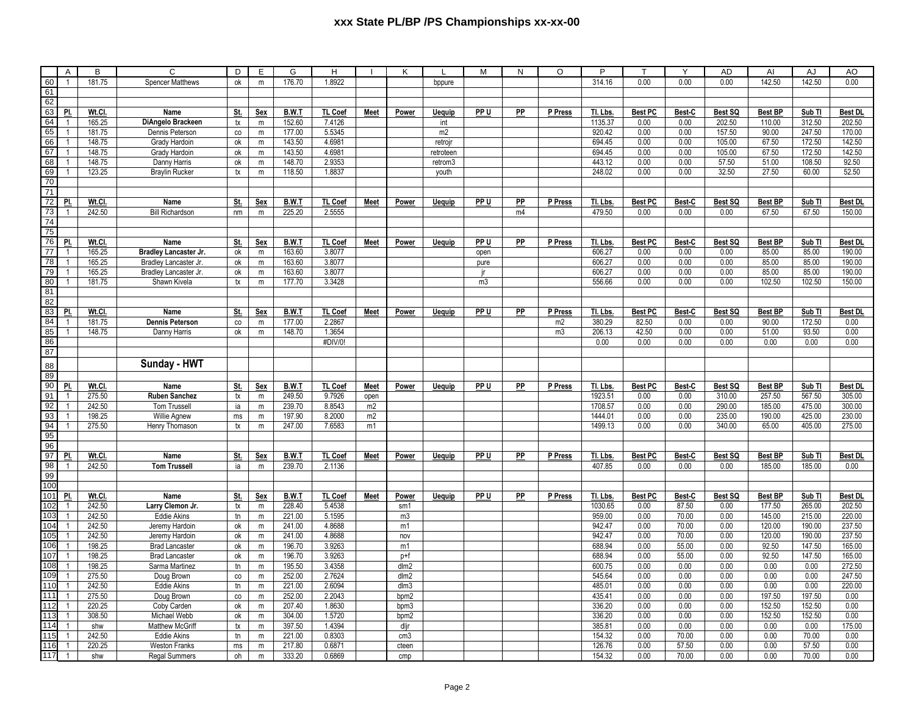## xxx State PL/BP /PS Championships xx-xx-00

|            | Α                                | В             | Ċ                                            | D             | E           | G                | н                |             | κ               |               | M               | N         | O       | P                |                |                | AD           | Al             | AJ             | AO             |
|------------|----------------------------------|---------------|----------------------------------------------|---------------|-------------|------------------|------------------|-------------|-----------------|---------------|-----------------|-----------|---------|------------------|----------------|----------------|--------------|----------------|----------------|----------------|
| 60         | $\overline{1}$                   | 181.75        | <b>Spencer Matthews</b>                      | оk            | m           | 176.70           | 1.8922           |             |                 | bppure        |                 |           |         | 314.16           | 0.00           | 0.00           | 0.00         | 142.50         | 142.50         | 0.00           |
| 61         |                                  |               |                                              |               |             |                  |                  |             |                 |               |                 |           |         |                  |                |                |              |                |                |                |
| 62         |                                  |               |                                              |               |             |                  |                  |             |                 |               |                 |           |         |                  |                |                |              |                |                |                |
| 63         | PI.                              | Wt.Cl.        | Name                                         | St.           | Sex         | B.W.T            | <b>TL Coef</b>   | Meet        | Power           | <b>Uequip</b> | PP U            | PP        | P Press | TI. Lbs.         | Best PC        | Best-C         | Best SQ      | Best BP        | $Sub$ TI       | <b>Best DL</b> |
| 64         | $\mathbf{1}$                     | 165.25        | DiAngelo Brackeen                            | tx            | m           | 152.60           | 7.4126           |             |                 | int           |                 |           |         | 1135.37          | 0.00           | 0.00           | 202.50       | 110.00         | 312.50         | 202.50         |
| 65         | $\overline{1}$                   | 181.75        | Dennis Peterson                              | co            | m           | 177.00           | 5.5345           |             |                 | m2            |                 |           |         | 920.42           | 0.00           | 0.00           | 157.50       | 90.00          | 247.50         | 170.00         |
| 66         | $\mathbf{1}$                     | 148.75        | Grady Hardoin                                | оk            | m           | 143.50           | 4.6981           |             |                 | retrojn       |                 |           |         | 694.45           | 0.00           | 0.00           | 105.00       | 67.50          | 172.50         | 142.50         |
| 67         | $\overline{1}$                   | 148.75        | Grady Hardoin                                | оk            | m           | 143.50           | 4.6981           |             |                 | retroteen     |                 |           |         | 694.45           | 0.00           | 0.00           | 105.00       | 67.50          | 172.50         | 142.50         |
| 68         | $\mathbf{1}$                     | 148.75        | Danny Harris                                 | ok            | m           | 148.70           | 2.9353           |             |                 | retrom3       |                 |           |         | 443.12           | 0.00           | 0.00           | 57.50        | 51.00          | 108.50         | 92.50          |
| 69         | $\overline{1}$                   | 123.25        | <b>Braylin Rucker</b>                        | tx            | m           | 118.50           | 1.8837           |             |                 |               |                 |           |         | 248.02           | 0.00           | 0.00           | 32.50        | 27.50          | 60.00          | 52.50          |
| 70         |                                  |               |                                              |               |             |                  |                  |             |                 | youth         |                 |           |         |                  |                |                |              |                |                |                |
| 71         |                                  |               |                                              |               |             |                  |                  |             |                 |               |                 |           |         |                  |                |                |              |                |                |                |
| 72         | PI.                              | Wt.CI         | <b>Name</b>                                  |               |             | <b>B.W.T</b>     | TL Coef          |             |                 |               | PP U            | <b>PP</b> | P Press | TI. Lbs          | <b>Best PC</b> |                | Best SQ      | <b>Best BP</b> |                |                |
|            | $\overline{1}$                   |               |                                              | St.           | Sex         |                  |                  | <b>Meet</b> | Power           | <b>Uequip</b> |                 |           |         |                  |                | Best-C<br>0.00 | 0.00         |                | Sub Tl         | <b>Best DL</b> |
| 73         |                                  | 242.50        | <b>Bill Richardson</b>                       | $\mathsf{nm}$ | m           | 225.20           | 2.5555           |             |                 |               |                 | m4        |         | 479.50           | 0.00           |                |              | 67.50          | 67.50          | 150.00         |
| 74<br>75   |                                  |               |                                              |               |             |                  |                  |             |                 |               |                 |           |         |                  |                |                |              |                |                |                |
|            | PI.                              |               |                                              |               |             |                  |                  |             |                 |               | PP U            | <b>PP</b> |         |                  |                |                |              |                |                |                |
| 76<br>77   | $\overline{1}$                   | Wt.CI         | Name                                         | St.           | <b>Sex</b>  | B.W.T            | TL Coef          | <b>Meet</b> | Power           | <b>Uequip</b> |                 |           | P Press | TI. Lbs          | <b>Best PC</b> | Best-C         | Best SQ      | <b>Best BP</b> | Sub TI         | <b>Best DL</b> |
|            |                                  | 165.25        | Bradley Lancaster Jr.                        | оk            | m           | 163.60           | 3.8077           |             |                 |               | open            |           |         | 606.27           | 0.00           | 0.00           | 0.00         | 85.00          | 85.00          | 190.00         |
| 78         | $\overline{1}$                   | 165.25        | Bradley Lancaster Jr.                        | оk            | ${\sf m}$   | 163.60           | 3.8077           |             |                 |               | pure            |           |         | 606.27           | 0.00           | 0.00           | 0.00         | 85.00          | 85.00          | 190.00         |
| 79         | $\overline{1}$                   | 165.25        | Bradley Lancaster Jr.                        | ok            | m           | 163.60           | 3.8077           |             |                 |               |                 |           |         | 606.27           | 0.00           | 0.00           | 0.00         | 85.00          | 85.00          | 190.00         |
| 80         | $\mathbf{1}$                     | 181.75        | Shawn Kivela                                 | $\mathsf{tx}$ | m           | 177.70           | 3.3428           |             |                 |               | m3              |           |         | 556.66           | 0.00           | 0.00           | 0.00         | 102.50         | 102.50         | 150.00         |
| 81         |                                  |               |                                              |               |             |                  |                  |             |                 |               |                 |           |         |                  |                |                |              |                |                |                |
| 82         |                                  |               |                                              |               |             |                  |                  |             |                 |               |                 |           |         |                  |                |                |              |                |                |                |
| 83         | PI.                              | Wt.Cl.        | Name                                         | St.           | Sex         | B.W.T            | <b>TL Coef</b>   | Meet        | Power           | Uequip        | PP U            | PP        | P Press | Tl. Lbs.         | <b>Best PC</b> | Best-C         | Best SQ      | Best BP        | Sub TI         | <b>Best DL</b> |
| 84         | $\overline{1}$                   | 181.75        | <b>Dennis Peterson</b>                       | co            | m           | 177.00           | 2.2867           |             |                 |               |                 |           | m2      | 380.29           | 82.50          | 0.00           | 0.00         | 90.00          | 172.50         | 0.00           |
| 85         | $\overline{1}$                   | 148.75        | Danny Harris                                 | ok            | m           | 148.70           | 1.3654           |             |                 |               |                 |           | m3      | 206.13           | 42.50          | 0.00           | 0.00         | 51.00          | 93.50          | 0.00           |
| 86         |                                  |               |                                              |               |             |                  | #DIV/0!          |             |                 |               |                 |           |         | 0.00             | 0.00           | 0.00           | 0.00         | 0.00           | 0.00           | 0.00           |
| 87         |                                  |               |                                              |               |             |                  |                  |             |                 |               |                 |           |         |                  |                |                |              |                |                |                |
| 88         |                                  |               | Sunday - HWT                                 |               |             |                  |                  |             |                 |               |                 |           |         |                  |                |                |              |                |                |                |
| 89         |                                  |               |                                              |               |             |                  |                  |             |                 |               |                 |           |         |                  |                |                |              |                |                |                |
| 90         | PI.                              | Wt.Cl.        | Name                                         | St.           | Sex         | B.W.T            | <b>TL Coef</b>   | Meet        | Power           | <b>Uequip</b> | PP U            | <b>PP</b> | P Press | Tl. Lbs.         | Best PC        | Best-C         | Best SQ      | <b>Best BP</b> | Sub TI         | <b>Best DL</b> |
| 91         |                                  | 275.50        | <b>Ruben Sanchez</b>                         | tx            | $\mathsf m$ | 249.50           | 9.7926           | open        |                 |               |                 |           |         | 1923.51          | 0.00           | 0.00           | 310.00       | 257.50         | 567.50         | 305.00         |
| 92         | $\overline{1}$                   | 242.50        | Tom Trussell                                 | ia            | m           | 239.70           | 8.8543           | m2          |                 |               |                 |           |         | 1708.57          | 0.00           | 0.00           | 290.00       | 185.00         | 475.00         | 300.00         |
| 93         | $\overline{1}$                   | 198.25        | Willie Agnew                                 | ms            | $\mathsf m$ | 197.90           | 8.2000           | m2          |                 |               |                 |           |         | 1444.01          | 0.00           | 0.00           | 235.00       | 190.00         | 425.00         | 230.00         |
| 94         | $\overline{1}$                   | 275.50        | Henry Thomason                               | $\mathsf{tx}$ | ${\sf m}$   | 247.00           | 7.6583           | m1          |                 |               |                 |           |         | 1499.13          | 0.00           | 0.00           | 340.00       | 65.00          | 405.00         | 275.00         |
| 95         |                                  |               |                                              |               |             |                  |                  |             |                 |               |                 |           |         |                  |                |                |              |                |                |                |
| 96         |                                  |               |                                              |               |             |                  |                  |             |                 |               |                 |           |         |                  |                |                |              |                |                |                |
| 97         | PI.                              | Wt.Cl.        | Name                                         | St.           | Sex         | B.W.T            | <b>TL Coef</b>   | Meet        | Power           | <b>Uequip</b> | PP <sub>U</sub> | <b>PP</b> | P Press | Tl. Lbs.         | <b>Best PC</b> | Best-C         | Best SQ      | <b>Best BP</b> | $Sub$ TI       | <b>Best DL</b> |
| 98         | $\overline{1}$                   | 242.50        | <b>Tom Trussell</b>                          | ia            | m           | 239.70           | 2.1136           |             |                 |               |                 |           |         | 407.85           | 0.00           | 0.00           | 0.00         | 185.00         | 185.00         | 0.00           |
| 99         |                                  |               |                                              |               |             |                  |                  |             |                 |               |                 |           |         |                  |                |                |              |                |                |                |
| 100        |                                  |               |                                              |               |             |                  |                  |             |                 |               |                 |           |         |                  |                |                |              |                |                |                |
| 101        | PI.                              | Wt.Cl         | Name                                         | St.           | <b>Sex</b>  | <b>B.W.T</b>     | <b>TL Coef</b>   | Meet        | Power           | <b>Uequip</b> | PP U            | PP        | P Press | Tl. Lbs.         | <b>Best PC</b> | Best-C         | Best SQ      | <b>Best BP</b> | Sub Tl         | <b>Best DL</b> |
| 102        | $\overline{1}$                   | 242.50        | Larry Clemon Jr.                             | tx            | ${\sf m}$   | 228.40           | 5.4538           |             | sm1             |               |                 |           |         | 1030.65          | 0.00           | 87.50          | 0.00         | 177.50         | 265.00         | 202.50         |
| 103        | $\overline{1}$                   | 242.50        | Eddie Akins                                  | tn            | m           | 221.00           | 5.1595           |             | m3              |               |                 |           |         | 959.00           | 0.00           | 70.00          | 0.00         | 145.00         | 215.00         | 220.00         |
| 104        | $\overline{1}$                   | 242.50        | Jeremy Hardoin                               | оk            | m           | 241.00           | 4.8688           |             | m1              |               |                 |           |         | 942.47           | 0.00           | 70.00          | 0.00         | 120.00         | 190.00         | 237.50         |
| 105        | $\overline{1}$                   | 242.50        | Jeremy Hardoin                               | ok            | m           | 241.00           | 4.8688           |             | nov             |               |                 |           |         | 942.47           | 0.00           | 70.00          | 0.00         | 120.00         | 190.00         | 237.50         |
| 106        | $\overline{1}$                   | 198.25        | <b>Brad Lancaster</b>                        | оk            | m           | 196.70           | 3.9263           |             | m1              |               |                 |           |         | 688.94           | 0.00           | 55.00          | 0.00         | 92.50          | 147.50         | 165.00         |
| 107        | $\overline{1}$                   | 198.25        | <b>Brad Lancaster</b>                        | ok            | m           | 196.70           | 3.9263           |             | p+f             |               |                 |           |         | 688.94           | 0.00           | 55.00          | 0.00         | 92.50          | 147.50         | 165.00         |
| 108        | $\overline{1}$                   | 198.25        | Sarma Martinez                               | tn            | m           | 195.50           | 3.4358           |             | dlm2            |               |                 |           |         | 600.75           | 0.00           | 0.00           | 0.00         | 0.00           | 0.00           | 272.50         |
| 109        | $\overline{1}$                   | 275.50        | Doug Brown                                   | co            | m           | 252.00           | 2.7624           |             | dlm2            |               |                 |           |         | 545.64           | 0.00           | 0.00           | 0.00         | 0.00           | 0.00           | 247.50         |
| 110        | $\overline{1}$                   | 242.50        | Eddie Akins                                  | tn            | m           | 221.00           | 2.6094           |             | dlm3            |               |                 |           |         | 485.01           | 0.00           | 0.00           | 0.00         | 0.00           | 0.00           | 220.00         |
| 111        | $\overline{1}$                   | 275.50        | Doug Brown                                   | co            | m           | 252.00           | 2.2043           |             | bpm2            |               |                 |           |         | 435.41           | 0.00           | 0.00           | 0.00         | 197.50         | 197.50         | 0.00           |
| 112        | $\overline{1}$                   | 220.25        | Coby Carden                                  | оk            | m           | 207.40           | 1.8630           |             | bpm3            |               |                 |           |         | 336.20           | 0.00           | 0.00           | 0.00         | 152.50         | 152.50         | 0.00           |
| 113        | $\overline{1}$                   | 308.50        | Michael Webb                                 | ok            | m           | 304.00           | 1.5720           |             | bpm2            |               |                 |           |         | 336.20           | 0.00           | 0.00           | 0.00         | 152.50         | 152.50         | 0.00           |
| 114        |                                  |               | Matthew McGriff                              | tx            | m           | 397.50           | 1.4394           |             | dlir            |               |                 |           |         | 385.81           | 0.00           | 0.00           | 0.00         | 0.00           | 0.00           | 175.00         |
|            |                                  |               |                                              |               |             |                  |                  |             |                 |               |                 |           |         |                  |                |                |              |                |                |                |
|            | $\overline{1}$                   | shw           |                                              |               |             |                  |                  |             |                 |               |                 |           |         |                  |                |                |              |                |                |                |
| 115        |                                  | 242.50        | Eddie Akins                                  | tn            | m           | 221.00           | 0.8303           |             | cm <sub>3</sub> |               |                 |           |         | 154.32           | 0.00           | 70.00          | 0.00         | 0.00           | 70.00          | 0.00           |
| 116<br>117 | $\overline{1}$<br>$\overline{1}$ | 220.25<br>shw | <b>Weston Franks</b><br><b>Regal Summers</b> | ms<br>oh      | m<br>m      | 217.80<br>333.20 | 0.6871<br>0.6869 |             | cteen<br>cmp    |               |                 |           |         | 126.76<br>154.32 | 0.00<br>0.00   | 57.50<br>70.00 | 0.00<br>0.00 | 0.00<br>0.00   | 57.50<br>70.00 | 0.00<br>0.00   |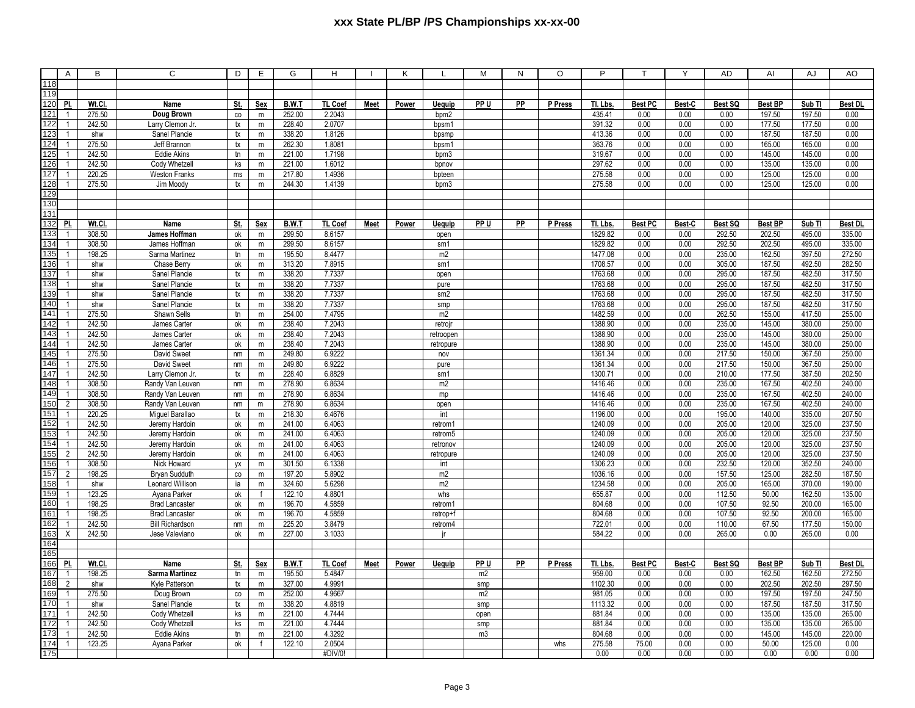## **xxx State PL/BP /PS Championships xx-xx-00**

|            | Α                     | в                | C                                        | D             | Е            | G                | H                |             | Κ     |                 | M              | N  | O       | P                  |                | Υ            | AD               | Al               | AJ               | AO               |
|------------|-----------------------|------------------|------------------------------------------|---------------|--------------|------------------|------------------|-------------|-------|-----------------|----------------|----|---------|--------------------|----------------|--------------|------------------|------------------|------------------|------------------|
| 118        |                       |                  |                                          |               |              |                  |                  |             |       |                 |                |    |         |                    |                |              |                  |                  |                  |                  |
| 119        |                       |                  |                                          |               |              |                  |                  |             |       |                 |                |    |         |                    |                |              |                  |                  |                  |                  |
| 120        | PI.                   | Wt.CI.           | Name                                     | St.           | Sex          | B.W.T            | <b>TL Coef</b>   | <b>Meet</b> | Power | <b>Uequip</b>   | PP U           | PP | P Press | TI. Lbs.           | <b>Best PC</b> | Best-C       | Best SQ          | <b>Best BP</b>   | Sub TI           | Best DL          |
| 121        | $\overline{1}$        | 275.50           | Doug Brown                               | co            | m            | 252.00           | 2.2043           |             |       | bpm2            |                |    |         | 435.41             | 0.00           | 0.00         | 0.00             | 197.50           | 197.50           | 0.00             |
| 122        | $\overline{1}$        | 242.50           | Larry Clemon Jr                          | tx            | m            | 228.40           | 2.0707           |             |       | bpsm1           |                |    |         | 391.32             | 0.00           | 0.00         | 0.00             | 177.50           | 177.50           | 0.00             |
| 123        | 1                     | shw              | Sanel Plancie                            | $\mathsf{tx}$ | m            | 338.20           | 1.8126           |             |       | bpsmp           |                |    |         | 413.36             | 0.00           | 0.00         | 0.00             | 187.50           | 187.50           | 0.00             |
| 124        | $\overline{1}$        | 275.50           | Jeff Brannon                             | tx            | m            | 262.30           | 1.8081           |             |       | bpsm1           |                |    |         | 363.76             | 0.00           | 0.00         | 0.00             | 165.00           | 165.00           | 0.00             |
| 125        | $\overline{1}$        | 242.50           | <b>Eddie Akins</b>                       | $t$ n         | m            | 221.00           | 1.7198           |             |       | bpm3            |                |    |         | 319.67             | 0.00           | 0.00         | 0.00             | 145.00           | 145.00           | 0.00             |
| 126        | $\overline{1}$        | 242.50           | Cody Whetzel                             | ks            | m            | 221.00           | 1.6012           |             |       | bpnov           |                |    |         | 297.62             | 0.00           | 0.00         | 0.00             | 135.00           | 135.00           | 0.00             |
| 127        | 1                     | 220.25           | <b>Weston Franks</b>                     | ms            | ${\sf m}$    | 217.80           | 1.4936           |             |       | bpteen          |                |    |         | 275.58             | 0.00           | 0.00         | 0.00             | 125.00           | 125.00           | 0.00             |
| 128        | $\overline{1}$        | 275.50           | Jim Moody                                | tx            | ${\sf m}$    | 244.30           | 1.4139           |             |       | bpm3            |                |    |         | 275.58             | 0.00           | 0.00         | 0.00             | 125.00           | 125.00           | 0.00             |
| 129        |                       |                  |                                          |               |              |                  |                  |             |       |                 |                |    |         |                    |                |              |                  |                  |                  |                  |
| 130        |                       |                  |                                          |               |              |                  |                  |             |       |                 |                |    |         |                    |                |              |                  |                  |                  |                  |
| 131        |                       |                  |                                          |               |              |                  |                  |             |       |                 |                |    |         |                    |                |              |                  |                  |                  |                  |
| 132<br>133 | PI.<br>$\overline{1}$ | Wt.Cl.           | Name                                     | St.           | <b>Sex</b>   | <b>B.W.T</b>     | <b>TL Coef</b>   | <b>Meet</b> | Power | <b>Uequip</b>   | PP U           | PP | P Press | TI. Lbs.           | <b>Best PC</b> | Best-C       | Best SQ          | <b>Best BP</b>   | Sub Tl           | <b>Best DL</b>   |
| 134        | $\overline{1}$        | 308.50           | James Hoffman                            | ok<br>ok      | m            | 299.50           | 8.6157           |             |       | open            |                |    |         | 1829.82            | 0.00<br>0.00   | 0.00<br>0.00 | 292.50           | 202.50           | 495.00           | 335.00           |
| 135        | 1                     | 308.50<br>198.25 | James Hoffman<br>Sarma Martinez          | $t$ n         | m            | 299.50<br>195.50 | 8.6157<br>8.4477 |             |       | sm1<br>m2       |                |    |         | 1829.82<br>1477.08 | 0.00           | 0.00         | 292.50<br>235.00 | 202.50<br>162.50 | 495.00<br>397.50 | 335.00<br>272.50 |
| 136        | $\overline{1}$        | shw              | Chase Berry                              | ok            | m<br>m       | 313.20           | 7.8915           |             |       | sm1             |                |    |         | 1708.57            | 0.00           | 0.00         | 305.00           | 187.50           | 492.50           | 282.50           |
| 137        | $\mathbf{1}$          | shw              | Sanel Plancie                            | tx            | m            | 338.20           | 7.7337           |             |       | open            |                |    |         | 1763.68            | 0.00           | 0.00         | 295.00           | 187.50           | 482.50           | 317.50           |
| 138        | $\overline{1}$        | shw              | Sanel Plancie                            | tx            | m            | 338.20           | 7.7337           |             |       | pure            |                |    |         | 1763.68            | 0.00           | 0.00         | 295.00           | 187.50           | 482.50           | 317.50           |
| 139        | 1                     | shw              | Sanel Plancie                            | $\mathsf{tx}$ | ${\sf m}$    | 338.20           | 7.7337           |             |       | sm <sub>2</sub> |                |    |         | 1763.68            | 0.00           | 0.00         | 295.00           | 187.50           | 482.50           | 317.50           |
| 140        | $\overline{1}$        | shw              | Sanel Plancie                            | $\mathsf{tx}$ | m            | 338.20           | 7.7337           |             |       | smp             |                |    |         | 1763.68            | 0.00           | 0.00         | 295.00           | 187.50           | 482.50           | 317.50           |
| 141        | $\overline{1}$        | 275.50           | Shawn Sells                              | tn            | ${\sf m}$    | 254.00           | 7.4795           |             |       | m2              |                |    |         | 1482.59            | 0.00           | 0.00         | 262.50           | 155.00           | 417.50           | 255.00           |
| 142        | $\overline{1}$        | 242.50           | James Carter                             | ok            | m            | 238.40           | 7.2043           |             |       | retrojn         |                |    |         | 1388.90            | 0.00           | 0.00         | 235.00           | 145.00           | 380.00           | 250.00           |
| 143        | $\mathbf{1}$          | 242.50           | James Carter                             | ok            | ${\sf m}$    | 238.40           | 7.2043           |             |       | retroopen       |                |    |         | 1388.90            | 0.00           | 0.00         | 235.00           | 145.00           | 380.00           | 250.00           |
| 144        | $\overline{1}$        | 242.50           | James Carter                             | ok            | m            | 238.40           | 7.2043           |             |       | retropure       |                |    |         | 1388.90            | 0.00           | 0.00         | 235.00           | 145.00           | 380.00           | 250.00           |
| 145        | $\overline{1}$        | 275.50           | David Sweet                              | nm            | m            | 249.80           | 6.9222           |             |       | nov             |                |    |         | 1361.34            | 0.00           | 0.00         | 217.50           | 150.00           | 367.50           | 250.00           |
| 146        | $\overline{1}$        | 275.50           | David Sweet                              | nm            | m            | 249.80           | 6.9222           |             |       | pure            |                |    |         | 1361.34            | 0.00           | 0.00         | 217.50           | 150.00           | 367.50           | 250.00           |
| 147        | $\overline{1}$        | 242.50           | Larry Clemon Jr.                         | tx            | m            | 228.40           | 6.8829           |             |       | sm1             |                |    |         | 1300.71            | 0.00           | 0.00         | 210.00           | 177.50           | 387.50           | 202.50           |
| 148        | $\overline{1}$        | 308.50           | Randy Van Leuven                         | nm            | m            | 278.90           | 6.8634           |             |       | m2              |                |    |         | 1416.46            | 0.00           | 0.00         | 235.00           | 167.50           | 402.50           | 240.00           |
| 149        | $\overline{1}$        | 308.50           | Randy Van Leuven                         | nm            | m            | 278.90           | 6.8634           |             |       | mp              |                |    |         | 1416.46            | 0.00           | 0.00         | 235.00           | 167.50           | 402.50           | 240.00           |
| 150        | $\overline{2}$        | 308.50           | Randy Van Leuven                         | nm            | ${\sf m}$    | 278.90           | 6.8634           |             |       | open            |                |    |         | 1416.46            | 0.00           | 0.00         | 235.00           | 167.50           | 402.50           | 240.00           |
| 151        | $\overline{1}$        | 220.25           | Miguel Barallao                          | tx            | m            | 218.30           | 6.4676           |             |       | int             |                |    |         | 1196.00            | 0.00           | 0.00         | 195.00           | 140.00           | 335.00           | 207.50           |
| 152        | $\overline{1}$        | 242.50           | Jeremy Hardoin                           | ok            | m            | 241.00           | 6.4063           |             |       | retrom1         |                |    |         | 1240.09            | 0.00           | 0.00         | 205.00           | 120.00           | 325.00           | 237.50           |
| 153        | $\overline{1}$        | 242.50           | Jeremy Hardoin                           | ok            | m            | 241.00           | 6.4063           |             |       | retrom5         |                |    |         | 1240.09            | 0.00           | 0.00         | 205.00           | 120.00           | 325.00           | 237.50           |
| 154        | -1                    | 242.50           | Jeremy Hardoin                           | ok            | ${\sf m}$    | 241.00           | 6.4063           |             |       | retronov        |                |    |         | 1240.09            | 0.00           | 0.00         | 205.00           | 120.00           | 325.00           | 237.50           |
| 155        | 2                     | 242.50           | Jeremy Hardoin                           | ok            | ${\sf m}$    | 241.00           | 6.4063           |             |       | retropure       |                |    |         | 1240.09            | 0.00           | 0.00         | 205.00           | 120.00           | 325.00           | 237.50           |
| 156        | $\overline{1}$        | 308.50           | Nick Howard                              | yx            | ${\sf m}$    | 301.50           | 6.1338           |             |       | int             |                |    |         | 1306.23            | 0.00           | 0.00         | 232.50           | 120.00           | 352.50           | 240.00           |
| 157        | $\overline{2}$        | 198.25           | <b>Bryan Sudduth</b>                     | co            | ${\sf m}$    | 197.20           | 5.8902           |             |       | m2              |                |    |         | 1036.16            | 0.00           | 0.00         | 157.50           | 125.00           | 282.50           | 187.50           |
| 158        | $\overline{1}$        | shw              | Leonard Willison                         | ia            | m            | 324.60           | 5.6298           |             |       | m2              |                |    |         | 1234.58            | 0.00           | 0.00         | 205.00           | 165.00           | 370.00           | 190.00           |
| 159        | $\overline{1}$        | 123.25           | Ayana Parker                             | ok            | $\ddot{f}$   | 122.10           | 4.8801           |             |       | whs             |                |    |         | 655.87             | 0.00           | 0.00         | 112.50           | 50.00            | 162.50           | 135.00           |
| 160        | -1                    | 198.25           | <b>Brad Lancaster</b>                    | ok            | ${\sf m}$    | 196.70           | 4.5859           |             |       | retrom1         |                |    |         | 804.68             | 0.00           | 0.00         | 107.50           | 92.50            | 200.00           | 165.00           |
| 161        | $\overline{1}$        | 198.25           | <b>Brad Lancaster</b>                    | ok            | m            | 196.70           | 4.5859           |             |       | retrop+         |                |    |         | 804.68             | 0.00           | 0.00         | 107.50           | 92.50            | 200.00           | 165.00           |
| 162<br>163 | $\times$              | 242.50<br>242.50 | <b>Bill Richardson</b><br>Jese Valeviano | nm<br>ok      | m            | 225.20<br>227.00 | 3.8479<br>3.1033 |             |       | retrom4<br>ir   |                |    |         | 722.01<br>584.22   | 0.00<br>0.00   | 0.00<br>0.00 | 110.00<br>265.00 | 67.50<br>0.00    | 177.50<br>265.00 | 150.00<br>0.00   |
|            |                       |                  |                                          |               | m            |                  |                  |             |       |                 |                |    |         |                    |                |              |                  |                  |                  |                  |
| 164<br>165 |                       |                  |                                          |               |              |                  |                  |             |       |                 |                |    |         |                    |                |              |                  |                  |                  |                  |
| 166        | PI.                   | Wt.Cl.           | Name                                     | St.           | Sex          | B.W.T            | TL Coef          | Meet        | Power | Uequip          | PP U           | PP | P Press | TI. Lbs.           | <b>Best PC</b> | Best-C       | Best SQ          | <b>Best BP</b>   | Sub TI           | Best DL          |
| 167        | $\overline{1}$        | 198.25           | Sarma Martinez                           | tn            | m            | 195.50           | 5.4847           |             |       |                 | m2             |    |         | 959.00             | 0.00           | 0.00         | 0.00             | 162.50           | 162.50           | 272.50           |
| 168        | $\overline{2}$        | shw              | Kyle Patterson                           | tx            | m            | 327.00           | 4.9991           |             |       |                 | smp            |    |         | 1102.30            | 0.00           | 0.00         | 0.00             | 202.50           | 202.50           | 297.50           |
| 169        | $\overline{1}$        | 275.50           | Doug Brown                               | co            | ${\sf m}$    | 252.00           | 4.9667           |             |       |                 | m <sub>2</sub> |    |         | 981.05             | 0.00           | 0.00         | 0.00             | 197.50           | 197.50           | 247.50           |
| 170        | $\mathbf{1}$          | shw              | Sanel Plancie                            | $\mathsf{tx}$ | $\mathsf m$  | 338.20           | 4.8819           |             |       |                 | smp            |    |         | 1113.32            | 0.00           | 0.00         | 0.00             | 187.50           | 187.50           | 317.50           |
| 171        | $\overline{1}$        | 242.50           | Cody Whetzel                             | ks            | m            | 221.00           | 4.7444           |             |       |                 | open           |    |         | 881.84             | 0.00           | 0.00         | 0.00             | 135.00           | 135.00           | 265.00           |
| 172        | $\overline{1}$        | 242.50           | Cody Whetzel                             | ks            | m            | 221.00           | 4.7444           |             |       |                 | smp            |    |         | 881.84             | 0.00           | 0.00         | 0.00             | 135.00           | 135.00           | 265.00           |
| 173        | $\overline{1}$        | 242.50           | <b>Eddie Akins</b>                       | $t$ n         | m            | 221.00           | 4.3292           |             |       |                 | m <sub>3</sub> |    |         | 804.68             | 0.00           | 0.00         | 0.00             | 145.00           | 145.00           | 220.00           |
| 174        | $\mathbf{1}$          | 123.25           | Ayana Parker                             | ok            | $\mathbf{f}$ | 122.10           | 2.0504           |             |       |                 |                |    | whs     | 275.58             | 75.00          | 0.00         | 0.00             | 50.00            | 125.00           | 0.00             |
| 175        |                       |                  |                                          |               |              |                  | #DIV/0!          |             |       |                 |                |    |         | 0.00               | 0.00           | 0.00         | 0.00             | 0.00             | 0.00             | 0.00             |
|            |                       |                  |                                          |               |              |                  |                  |             |       |                 |                |    |         |                    |                |              |                  |                  |                  |                  |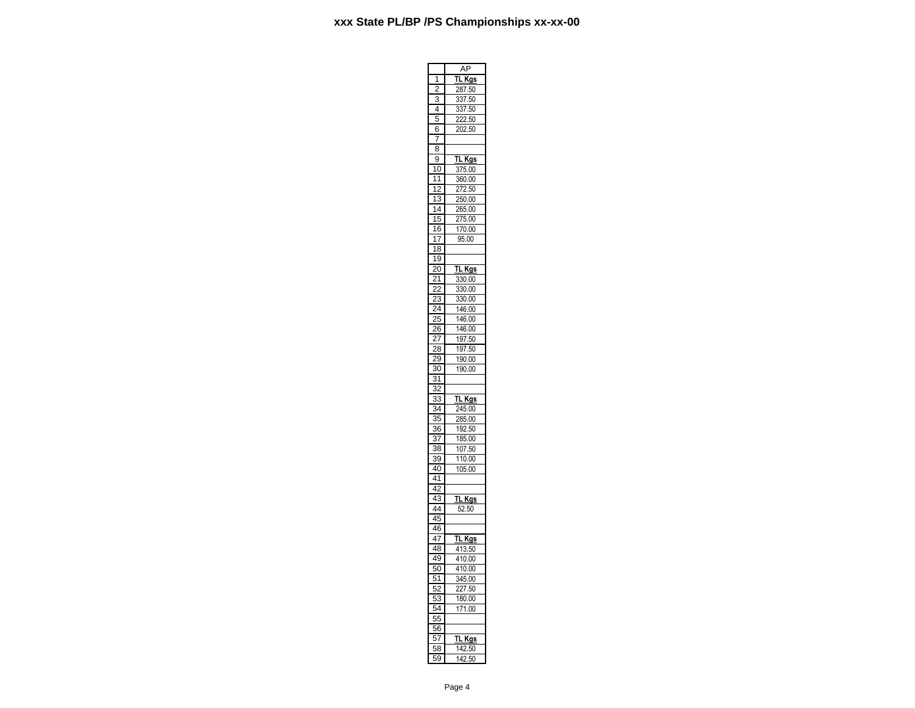|                           | ł                                |
|---------------------------|----------------------------------|
| 1                         | TL Kgs                           |
| ć                         | <u>287.50</u>                    |
| 3                         | 337<br>$\frac{1}{50}$            |
| 4                         | $\frac{1}{337.50}$               |
| p<br>5                    | 222.50                           |
| 6                         | 202.50                           |
| 7                         |                                  |
| 8                         |                                  |
| 9                         |                                  |
|                           | Kgs<br><u>TL</u>                 |
| 10                        | 375.00                           |
| 11                        | 360.00                           |
| $\frac{2}{2}$<br>1        | 272.50                           |
| 3<br>1                    | 250.00                           |
| 14                        | 265.00                           |
| 15                        | 275.00                           |
| 16                        | 170.00                           |
| 17                        | 95.00                            |
| $\overline{18}$           |                                  |
| 1<br>9                    |                                  |
| 20                        | TL Kgs                           |
| 1                         | 330.00                           |
|                           | $\overline{\mathbf{3}}$<br>30.00 |
| 3                         | 330.00                           |
| $\frac{2}{3}$             |                                  |
| 25                        | 146.00                           |
|                           | 146.00                           |
| 6                         | 146.00                           |
|                           | 197.50<br>197.50                 |
| $\frac{28}{2}$            |                                  |
| 29                        | 190.00                           |
| $\overline{3}0$           | 190.00                           |
| $\overline{\mathbf{3}}$   |                                  |
| 3                         |                                  |
| $\ddot{\phantom{a}}$<br>3 | TL Kgs                           |
| 34                        | $\frac{245.00}{5}$               |
| $\overline{35}$           | $\overline{285.00}$              |
| 36                        | 192.50                           |
| 37                        | 185.00                           |
| 38                        | 107.50                           |
| 39                        | 110.00                           |
|                           |                                  |
| 40                        | 105.00                           |
| 41                        |                                  |
| 42                        |                                  |
| $\overline{4}$<br>3       | TL Kgs                           |
| 44                        | 52.50                            |
| 45                        |                                  |
| 46                        |                                  |
| 47                        | <u>TL Kgs</u>                    |
| 48                        | 413.50                           |
| 49                        | 410.00                           |
| ŕ<br>50                   | 410.00                           |
|                           | 345.00                           |
|                           |                                  |
| $\overline{51}$           |                                  |
| $\overline{52}$           | 227.50                           |
| ļ<br>5<br>3               | 180.00                           |
| ļ<br>$\bar{4}$            | 171.00                           |
| 55                        |                                  |
| 56                        |                                  |
| 57                        | TL<br><u>Kgs</u>                 |
| 58<br>59                  | 142.50<br>2.50<br>142            |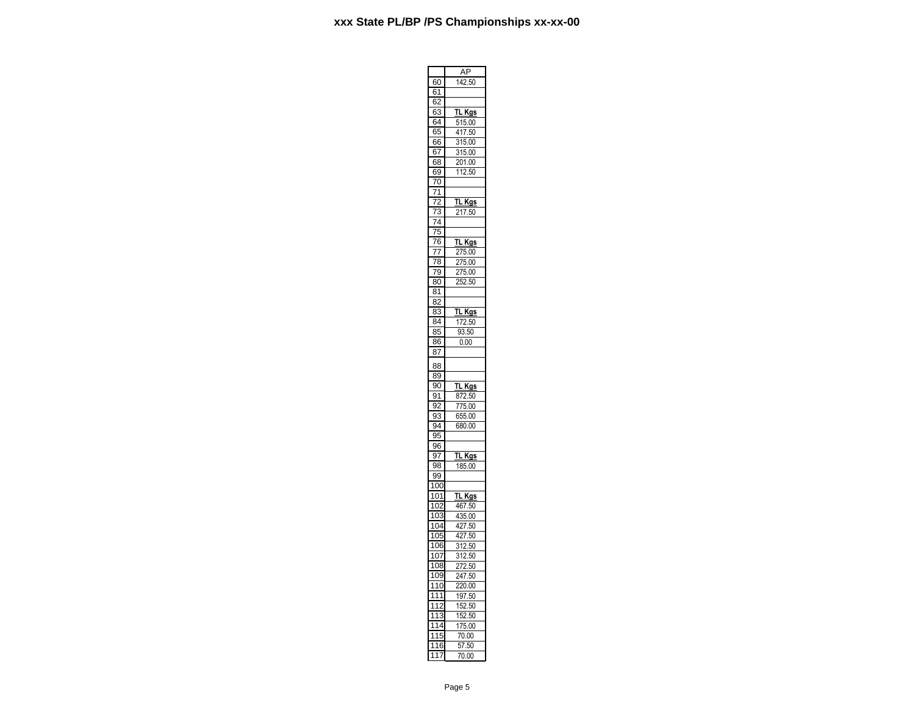÷

r.

|                                              | ΑF                                                           |
|----------------------------------------------|--------------------------------------------------------------|
| 60                                           | 142.50                                                       |
| 61                                           |                                                              |
| 6.                                           |                                                              |
| $\frac{1}{63}$                               |                                                              |
|                                              | <b>TL Kgs</b>                                                |
| 64                                           | 515.00                                                       |
| 65                                           | 417.50                                                       |
| 66                                           | 315.00                                                       |
| 67                                           | 315.00                                                       |
| 68                                           | 201.00                                                       |
| 69                                           | 112.50                                                       |
| $\overline{70}$                              |                                                              |
|                                              |                                                              |
| 71                                           |                                                              |
| 72                                           | <u>TL</u><br>Kgs                                             |
| 73                                           | 217.50                                                       |
| 74                                           |                                                              |
| $\overline{75}$                              |                                                              |
| 76                                           | TL<br><b>Kgs</b>                                             |
| 77                                           |                                                              |
|                                              | $\frac{275.00}{5}$                                           |
| $\overline{78}$                              | $\frac{1}{75.00}$                                            |
| 79                                           | 275.00                                                       |
| 80                                           | 252.50                                                       |
| $\overline{81}$                              |                                                              |
| 82                                           |                                                              |
| 3                                            | TL Kgs                                                       |
| 8                                            |                                                              |
| 84                                           | 172.50                                                       |
| 85                                           | $\frac{93.50}{93.50}$                                        |
| 86                                           | 0.00                                                         |
| 87                                           |                                                              |
|                                              |                                                              |
| 88                                           |                                                              |
| 89                                           |                                                              |
| 90                                           | TL Kgs                                                       |
| ١<br>91                                      | 872.50                                                       |
| 92                                           | $\frac{1}{775.00}$                                           |
| 33<br>$\overline{\mathbf{c}}$                | 655.00                                                       |
| $\overline{94}$                              |                                                              |
|                                              | 680.00                                                       |
| $rac{6}{95}$                                 |                                                              |
| $\overline{96}$                              |                                                              |
| 97                                           | TL Kgs                                                       |
| $\frac{97}{98}$                              | 185.00                                                       |
| 99                                           |                                                              |
| 100                                          |                                                              |
| $\overline{101}$                             | <b>TL Kgs</b>                                                |
|                                              |                                                              |
| 102<br>103                                   | 467.50                                                       |
|                                              | 435.00                                                       |
| 104                                          | $\frac{427.50}{427.50}$                                      |
| 105                                          |                                                              |
| 106                                          | $\frac{1}{312.50}$                                           |
|                                              |                                                              |
|                                              |                                                              |
| 107                                          |                                                              |
| 108                                          |                                                              |
| 109                                          |                                                              |
| 110                                          | $\frac{312.50}{272.50}$<br>$\frac{247.50}{247.50}$<br>220.00 |
| $\overline{1}11$                             |                                                              |
|                                              | 197.50                                                       |
| $\overline{11}$                              | 152.50                                                       |
| $\overline{11}$<br>3                         | 152.50                                                       |
| 1<br>14                                      | 175.00                                                       |
| 1<br>15                                      | 70.00                                                        |
| 16<br>1<br>$\overline{17}$<br>$\overline{1}$ | 57.50<br>70.00                                               |